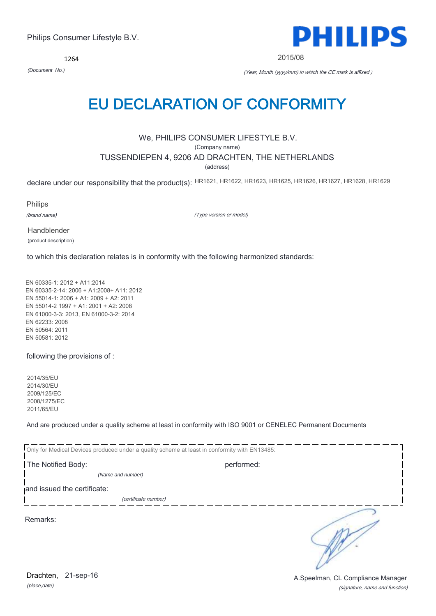*(place,date)* Drachten, 21-sep-16

(signature, name and function) A.Speelman, CL Compliance Manager

# Philips Consumer Lifestyle B.V.

# 1264

*(Document No.)* (Year, Month (yyyy/mm) in which the CE mark is affixed )

2015/08

# EU DECLARATION OF CONFORMITY

We, PHILIPS CONSUMER LIFESTYLE B.V.

(Company name)

# TUSSENDIEPEN 4, 9206 AD DRACHTEN, THE NETHERLANDS

(address)

declare under our responsibility that the product(s): HR1621, HR1622, HR1623, HR1625, HR1626, HR1627, HR1628, HR1629

Philips

(brand name)

(Type version or model)

Handblender (product description)

to which this declaration relates is in conformity with the following harmonized standards:

EN 60335-1: 2012 + A11:2014 EN 60335-2-14: 2006 + A1:2008+ A11: 2012 EN 55014-1: 2006 + A1: 2009 + A2: 2011 EN 55014-2 1997 + A1: 2001 + A2: 2008 EN 61000-3-3: 2013, EN 61000-3-2: 2014 EN 62233: 2008 EN 50564: 2011 EN 50581: 2012

following the provisions of :

2014/35/EU 2014/30/EU 2009/125/EC 2008/1275/EC 2011/65/EU

And are produced under a quality scheme at least in conformity with ISO 9001 or CENELEC Permanent Documents

Only for Medical Devices produced under a quality scheme at least in conformity with EN13485: The Notified Body: performed: *(Name and number)*  and issued the certificate: (certificate number) ∍ Remarks:

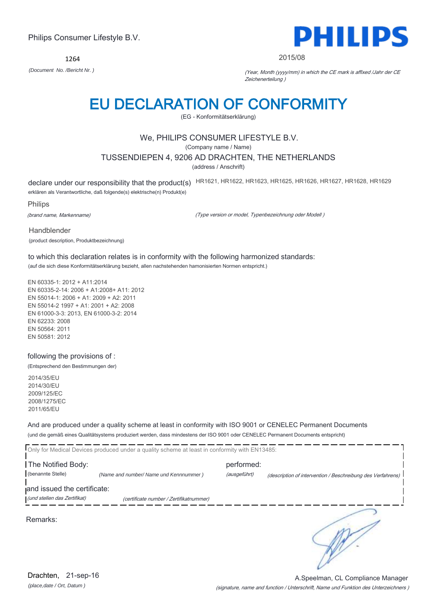1264



#### 2015/08

*(Document No. /Bericht Nr. )* (Year, Month (yyyy/mm) in which the CE mark is affixed /Jahr der CE Zeichenerteilung )

# EU DECLARATION OF CONFORMITY

(EG - Konformitätserklärung)

# We, PHILIPS CONSUMER LIFESTYLE B.V.

(Company name / Name)

# TUSSENDIEPEN 4, 9206 AD DRACHTEN, THE NETHERLANDS

(address / Anschrift)

declare under our responsibility that the product(s) HR1621, HR1622, HR1623, HR1625, HR1626, HR1627, HR1628, HR1629 erklären als Verantwortliche, daß folgende(s) elektrische(n) Produkt(e)

Philips

(brand name, Markenname)

(Type version or model, Typenbezeichnung oder Modell )

Handblender

(product description, Produktbezeichnung)

to which this declaration relates is in conformity with the following harmonized standards: (auf die sich diese Konformitätserklärung bezieht, allen nachstehenden hamonisierten Normen entspricht.)

EN 60335-1: 2012 + A11:2014 EN 60335-2-14: 2006 + A1:2008+ A11: 2012 EN 55014-1: 2006 + A1: 2009 + A2: 2011 EN 55014-2 1997 + A1: 2001 + A2: 2008 EN 61000-3-3: 2013, EN 61000-3-2: 2014 EN 62233: 2008 EN 50564: 2011 EN 50581: 2012

following the provisions of :

(Entsprechend den Bestimmungen der)

2014/35/EU 2014/30/EU 2009/125/EC 2008/1275/EC 2011/65/EU

And are produced under a quality scheme at least in conformity with ISO 9001 or CENELEC Permanent Documents (und die gemäß eines Qualitätsystems produziert werden, dass mindestens der ISO 9001 oder CENELEC Permanent Documents entspricht)

|                              | Only for Medical Devices produced under a quality scheme at least in conformity with EN13485: |              |                                                             |
|------------------------------|-----------------------------------------------------------------------------------------------|--------------|-------------------------------------------------------------|
| The Notified Body:           |                                                                                               | performed:   |                                                             |
| (benannte Stelle)            | (Name and number/ Name und Kennnummer)                                                        | (ausgeführt) | (description of intervention / Beschreibung des Verfahrens) |
| and issued the certificate:  |                                                                                               |              |                                                             |
| (und stellen das Zertifikat) | (certificate number / Zertifikatnummer)                                                       |              |                                                             |
| Remarks:                     |                                                                                               |              |                                                             |

(signature, name and function / Unterschrift, Name und Funktion des Unterzeichners ) A.Speelman, CL Compliance Manager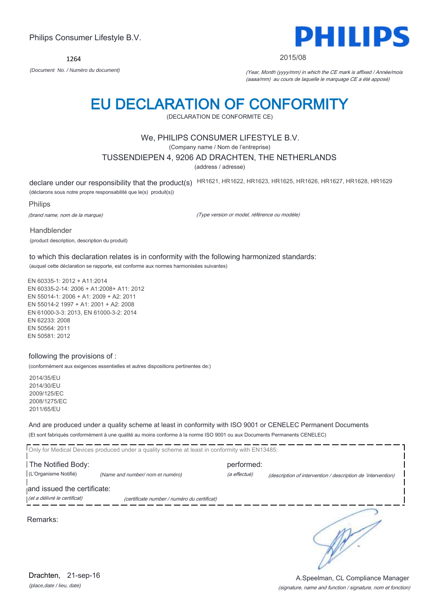1264



#### 2015/08

*(Document No. / Numéro du document)* (Year, Month (yyyy/mm) in which the CE mark is affixed / Année/mois (aaaa/mm) au cours de laquelle le marquage CE a été apposé)

# EU DECLARATION OF CONFORMITY

(DECLARATION DE CONFORMITE CE)

# We, PHILIPS CONSUMER LIFESTYLE B.V.

(Company name / Nom de l'entreprise)

### TUSSENDIEPEN 4, 9206 AD DRACHTEN, THE NETHERLANDS

(address / adresse)

declare under our responsibility that the product(s) HR1621, HR1622, HR1623, HR1625, HR1626, HR1627, HR1628, HR1629

(déclarons sous notre propre responsabilité que le(s) produit(s))

Philips

(brand name, nom de la marque)

(Type version or model, référence ou modèle)

Handblender (product description, description du produit)

to which this declaration relates is in conformity with the following harmonized standards: (auquel cette déclaration se rapporte, est conforme aux normes harmonisées suivantes)

EN 60335-1: 2012 + A11:2014 EN 60335-2-14: 2006 + A1:2008+ A11: 2012 EN 55014-1: 2006 + A1: 2009 + A2: 2011 EN 55014-2 1997 + A1: 2001 + A2: 2008 EN 61000-3-3: 2013, EN 61000-3-2: 2014 EN 62233: 2008 EN 50564: 2011 EN 50581: 2012

### following the provisions of :

(conformément aux exigences essentielles et autres dispositions pertinentes de:)

2014/35/EU 2014/30/EU 2009/125/EC 2008/1275/EC 2011/65/EU

And are produced under a quality scheme at least in conformity with ISO 9001 or CENELEC Permanent Documents (Et sont fabriqués conformément à une qualité au moins conforme à la norme ISO 9001 ou aux Documents Permanents CENELEC)

|                                                             | Only for Medical Devices produced under a quality scheme at least in conformity with EN13485: |                            |                                                              |
|-------------------------------------------------------------|-----------------------------------------------------------------------------------------------|----------------------------|--------------------------------------------------------------|
| The Notified Body:<br>(L'Organisme Notifié)                 | (Name and number/ nom et numéro)                                                              | performed:<br>(a effectué) | (description of intervention / description de 'intervention) |
| and issued the certificate:<br>(et a délivré le certificat) | (certificate number / numéro du certificat)                                                   |                            |                                                              |
| Remarks:                                                    |                                                                                               |                            |                                                              |

A.Speelman, CL Compliance Manager

(signature, name and function / signature, nom et fonction)

*(place,date / lieu, date)* Drachten, 21-sep-16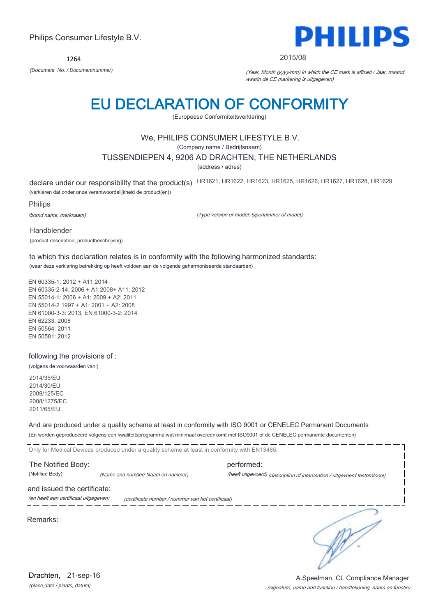### (signature, name and function / handtekening, naam en functie) A.Speelman, CL Compliance Manager

∍

# Philips Consumer Lifestyle B.V.

1264

*(Document No. / Documentnummer)* (Year, Month (yyyy/mm) in which the CE mark is affixed / Jaar, maand waarin de CE markering is uitgegeven)

2015/08

# EU DECLARATION OF CONFORMITY

(Europeese Conformiteitsverklaring)

# We, PHILIPS CONSUMER LIFESTYLE B.V.

(Company name / Bedrijfsnaam)

# TUSSENDIEPEN 4, 9206 AD DRACHTEN, THE NETHERLANDS

(address / adres)

declare under our responsibility that the product(s) HR1621, HR1622, HR1623, HR1625, HR1626, HR1627, HR1628, HR1629

(verklaren dat onder onze verantwoordelijkheid de product(en))

Philips

(brand name, merknaam)

(Type version or model, typenummer of model)

Handblender (product description, productbeschrijving)

to which this declaration relates is in conformity with the following harmonized standards: (waar deze verklaring betrekking op heeft voldoen aan de volgende geharmoniseerde standaarden)

EN 60335-1: 2012 + A11:2014 EN 60335-2-14: 2006 + A1:2008+ A11: 2012 EN 55014-1: 2006 + A1: 2009 + A2: 2011 EN 55014-2 1997 + A1: 2001 + A2: 2008 EN 61000-3-3: 2013, EN 61000-3-2: 2014 EN 62233: 2008 EN 50564: 2011 EN 50581: 2012

following the provisions of :

(volgens de voorwaarden van:)

2014/35/EU 2014/30/EU 2009/125/EC 2008/1275/EC 2011/65/EU

And are produced under a quality scheme at least in conformity with ISO 9001 or CENELEC Permanent Documents (En worden geproduceerd volgens een kwaliteitsprogramma wat minimaal overeenkomt met ISO9001 of de CENELEC permanente documenten)

Only for Medical Devices produced under a quality scheme at least in conformity with EN13485: **The Notified Body: performed:** performed: (Notified Body) *(Name and number/ Naam en nummer)* (heeft uitgevoerd) (description of intervention / uitgevoerd testprotocol) and issued the certificate: (en heeft een certificaat uitgegeven) (certificate number / nummer van het certificaat)

Remarks:

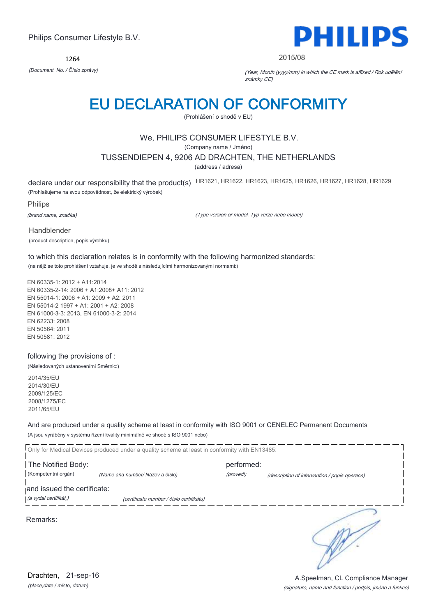1264



#### 2015/08

*(Document No. / Číslo zprávy)* (Year, Month (yyyy/mm) in which the CE mark is affixed / Rok udělění známky CE)

# EU DECLARATION OF CONFORMITY

(Prohlášení o shodě v EU)

# We, PHILIPS CONSUMER LIFESTYLE B.V.

(Company name / Jméno)

### TUSSENDIEPEN 4, 9206 AD DRACHTEN, THE NETHERLANDS

(address / adresa)

declare under our responsibility that the product(s) HR1621, HR1622, HR1623, HR1625, HR1626, HR1627, HR1628, HR1629 (Prohlašujeme na svou odpovědnost, že elektrický výrobek)

Philips

(brand name, značka)

(Type version or model, Typ verze nebo model)

Handblender (product description, popis výrobku)

to which this declaration relates is in conformity with the following harmonized standards: (na nějž se toto prohlášení vztahuje, je ve shodě s následujícími harmonizovanými normami:)

EN 60335-1: 2012 + A11:2014 EN 60335-2-14: 2006 + A1:2008+ A11: 2012 EN 55014-1: 2006 + A1: 2009 + A2: 2011 EN 55014-2 1997 + A1: 2001 + A2: 2008 EN 61000-3-3: 2013, EN 61000-3-2: 2014 EN 62233: 2008 EN 50564: 2011 EN 50581: 2012

### following the provisions of :

(Následovaných ustanoveními Směrnic:)

2014/35/EU 2014/30/EU 2009/125/EC 2008/1275/EC 2011/65/EU

And are produced under a quality scheme at least in conformity with ISO 9001 or CENELEC Permanent Documents (A jsou vyráběny v systému řízení kvality minimálně ve shodě s ISO 9001 nebo)

Only for Medical Devices produced under a quality scheme at least in conformity with EN13485: **The Notified Body: performed:** performed: (Kompetentní orgán) *(Name and number/ Název a číslo)* (provedl) (description of intervention / popis operace) and issued the certificate: (a vydal certifikát,) (certificate number / číslo certifikátu) ∍

Remarks:

*(place,date / místo, datum)* Drachten, 21-sep-16

# (signature, name and function / podpis, jméno a funkce) A.Speelman, CL Compliance Manager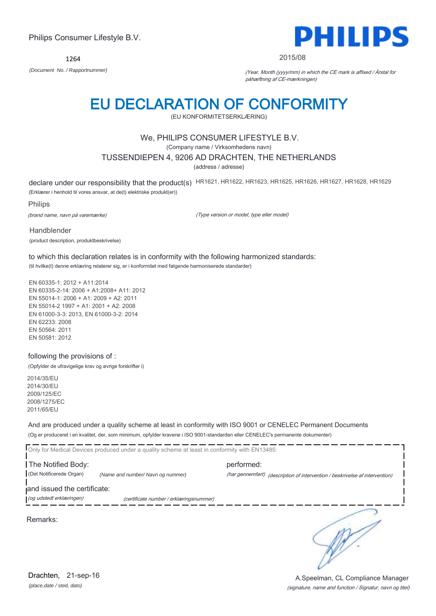1264



#### 2015/08

*(Document No. / Rapportnummer)* (Year, Month (yyyy/mm) in which the CE mark is affixed / Årstal for påhæftning af CE-mærkningen)

# EU DECLARATION OF CONFORMITY

(EU KONFORMITETSERKLÆRING)

# We, PHILIPS CONSUMER LIFESTYLE B.V.

(Company name / Virksomhedens navn)

# TUSSENDIEPEN 4, 9206 AD DRACHTEN, THE NETHERLANDS

(address / adresse)

declare under our responsibility that the product(s) HR1621, HR1622, HR1623, HR1625, HR1626, HR1627, HR1628, HR1629 (Erklærer i henhold til vores ansvar, at de(t) elektriske produkt(er))

Philips

(brand name, navn på varemærke)

(Type version or model, type eller model)

Handblender (product description, produktbeskrivelse)

to which this declaration relates is in conformity with the following harmonized standards: (til hvilke(t) denne erklæring relaterer sig, er i konformitet med følgende harmoniserede standarder)

EN 60335-1: 2012 + A11:2014 EN 60335-2-14: 2006 + A1:2008+ A11: 2012 EN 55014-1: 2006 + A1: 2009 + A2: 2011 EN 55014-2 1997 + A1: 2001 + A2: 2008 EN 61000-3-3: 2013, EN 61000-3-2: 2014 EN 62233: 2008 EN 50564: 2011 EN 50581: 2012

### following the provisions of :

(Opfylder de ufravigelige krav og øvrige forskrifter i)

2014/35/EU 2014/30/EU 2009/125/EC 2008/1275/EC 2011/65/EU

And are produced under a quality scheme at least in conformity with ISO 9001 or CENELEC Permanent Documents (Og er produceret i en kvalitet, der, som minimum, opfylder kravene i ISO 9001-standarden eller CENELEC's permanente dokumenter)

Only for Medical Devices produced under a quality scheme at least in conformity with EN13485:

**The Notified Body: performed:** performed: (Det Notificerede Organ) *(Name and number/ Navn og nummer)* (har gennemført) (description of intervention / beskrivelse af intervention)

and issued the certificate:

(og udstedt erklæringen) (certificate number / erklæringsnummer)

Remarks:

*(place,date / sted, dato)* Drachten, 21-sep-16

(signature, name and function / Signatur, navn og titel) A.Speelman, CL Compliance Manager

∍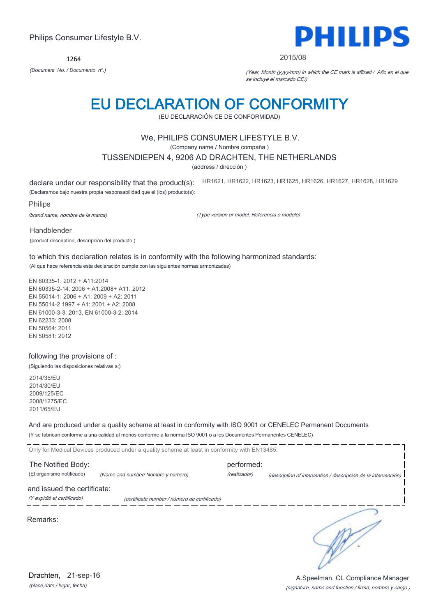Remarks:

*(place,date / lugar, fecha)* Drachten, 21-sep-16

# Philips Consumer Lifestyle B.V.

1264 *(Document No. / Documento nº.)* (Year, Month (yyyy/mm) in which the CE mark is affixed / Año en el que

# EU DECLARATION OF CONFORMITY

(EU DECLARACIÓN CE DE CONFORMIDAD)

# We, PHILIPS CONSUMER LIFESTYLE B.V.

(Company name / Nombre compaña )

# TUSSENDIEPEN 4, 9206 AD DRACHTEN, THE NETHERLANDS

(address / dirección )

declare under our responsibility that the product(s): (Declaramos bajo nuestra propia responsabilidad que el (los) producto(s): HR1621, HR1622, HR1623, HR1625, HR1626, HR1627, HR1628, HR1629

Philips

(brand name, nombre de la marca)

(Type version or model, Referencia o modelo)

Handblender

(product description, descripción del producto )

to which this declaration relates is in conformity with the following harmonized standards: (Al que hace referencia esta declaración cumple con las siguientes normas armonizadas)

EN 60335-1: 2012 + A11:2014 EN 60335-2-14: 2006 + A1:2008+ A11: 2012 EN 55014-1: 2006 + A1: 2009 + A2: 2011 EN 55014-2 1997 + A1: 2001 + A2: 2008 EN 61000-3-3: 2013, EN 61000-3-2: 2014 EN 62233: 2008 EN 50564: 2011 EN 50581: 2012

### following the provisions of :

(Siguiendo las disposiciones relativas a:)

2014/35/EU 2014/30/EU 2009/125/EC 2008/1275/EC 2011/65/EU

And are produced under a quality scheme at least in conformity with ISO 9001 or CENELEC Permanent Documents (Y se fabrican conforme a una calidad al menos conforme a la norma ISO 9001 o a los Documentos Permanentes CENELEC)

Only for Medical Devices produced under a quality scheme at least in conformity with EN13485: **The Notified Body: performed:** performed: (El organismo notificado) *(Name and number/ Nombre y número)* (realizador) (description of intervention / descripción de la intervención) and issued the certificate: (Y expidió el certificado) (certificate number / número de certificado) ∍





### 2015/08

se incluye el marcado CE))

(signature, name and function / firma, nombre y cargo ) A.Speelman, CL Compliance Manager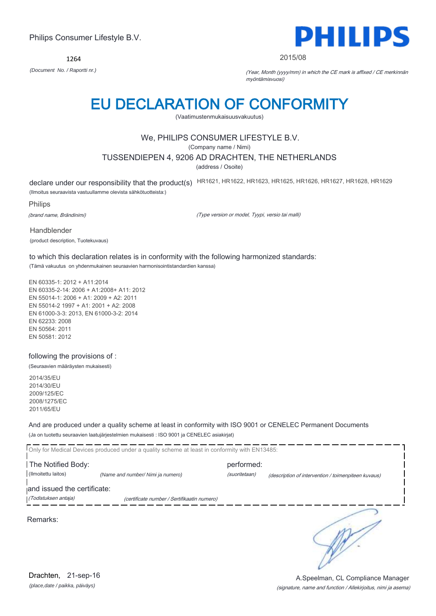1264



#### 2015/08

*(Document No. / Raportti nr.)* (Year, Month (yyyy/mm) in which the CE mark is affixed / CE merkinnän myöntämisvuosi)

# EU DECLARATION OF CONFORMITY

(Vaatimustenmukaisuusvakuutus)

# We, PHILIPS CONSUMER LIFESTYLE B.V.

(Company name / Nimi)

### TUSSENDIEPEN 4, 9206 AD DRACHTEN, THE NETHERLANDS

(address / Osoite)

declare under our responsibility that the product(s) HR1621, HR1622, HR1623, HR1625, HR1626, HR1627, HR1628, HR1629

(Ilmoitus seuraavista vastuullamme olevista sähkötuotteista:)

Philips

(brand name, Brändinimi)

(Type version or model, Tyypi, versio tai malli)

Handblender (product description, Tuotekuvaus)

to which this declaration relates is in conformity with the following harmonized standards: (Tämä vakuutus on yhdenmukainen seuraavien harmonisointistandardien kanssa)

EN 60335-1: 2012 + A11:2014 EN 60335-2-14: 2006 + A1:2008+ A11: 2012 EN 55014-1: 2006 + A1: 2009 + A2: 2011 EN 55014-2 1997 + A1: 2001 + A2: 2008 EN 61000-3-3: 2013, EN 61000-3-2: 2014 EN 62233: 2008 EN 50564: 2011 EN 50581: 2012

following the provisions of :

(Seuraavien määräysten mukaisesti)

2014/35/EU 2014/30/EU 2009/125/EC 2008/1275/EC 2011/65/EU

And are produced under a quality scheme at least in conformity with ISO 9001 or CENELEC Permanent Documents (Ja on tuotettu seuraavien laatujärjestelmien mukaisesti : ISO 9001 ja CENELEC asiakirjat)

|                             | Only for Medical Devices produced under a quality scheme at least in conformity with EN13485: |               |                                                     |
|-----------------------------|-----------------------------------------------------------------------------------------------|---------------|-----------------------------------------------------|
| The Notified Body:          |                                                                                               | performed:    |                                                     |
| (Ilmoitettu laitos)         | (Name and number/ Nimi ja numero)                                                             | (suoritetaan) | (description of intervention / toimenpiteen kuvaus) |
| and issued the certificate: |                                                                                               |               |                                                     |
| (Todistuksen antaja)        | (certificate number / Sertifikaatin numero)                                                   |               |                                                     |
| Remarks:                    |                                                                                               |               |                                                     |

*(place,date / paikka, päiväys)* Drachten, 21-sep-16

### (signature, name and function / Allekirjoitus, nimi ja asema) A.Speelman, CL Compliance Manager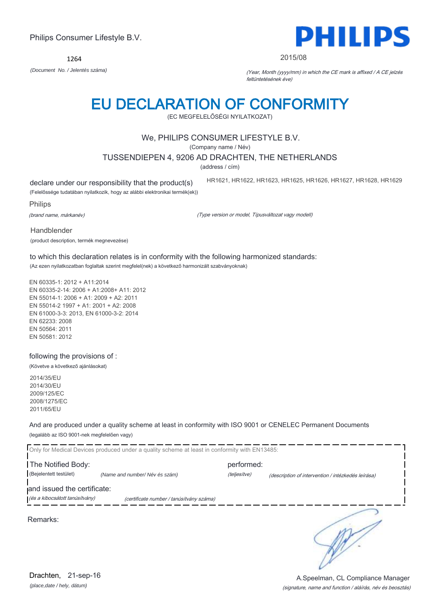1264 *(Document No. / Jelentés száma)* (Year, Month (yyyy/mm) in which the CE mark is affixed / A CE jelzés

# EU DECLARATION OF CONFORMITY

(EC MEGFELELŐSÉGI NYILATKOZAT)

# We, PHILIPS CONSUMER LIFESTYLE B.V.

(Company name / Név)

TUSSENDIEPEN 4, 9206 AD DRACHTEN, THE NETHERLANDS

(address / cím)

declare under our responsibility that the product(s)

HR1621, HR1622, HR1623, HR1625, HR1626, HR1627, HR1628, HR1629

(Felelőssége tudatában nyilatkozik, hogy az alábbi elektronikai termék(ek))

Philips

(brand name, márkanév)

(Type version or model, Típusváltozat vagy modell)

Handblender

(product description, termék megnevezése)

to which this declaration relates is in conformity with the following harmonized standards: (Az ezen nyilatkozatban foglaltak szerint megfelel(nek) a következő harmonizált szabványoknak)

EN 60335-1: 2012 + A11:2014 EN 60335-2-14: 2006 + A1:2008+ A11: 2012 EN 55014-1: 2006 + A1: 2009 + A2: 2011 EN 55014-2 1997 + A1: 2001 + A2: 2008 EN 61000-3-3: 2013, EN 61000-3-2: 2014 EN 62233: 2008 EN 50564: 2011 EN 50581: 2012

following the provisions of :

(Követve a következő ajánlásokat)

2014/35/EU 2014/30/EU 2009/125/EC 2008/1275/EC 2011/65/EU

۵.

And are produced under a quality scheme at least in conformity with ISO 9001 or CENELEC Permanent Documents (legalább az ISO 9001-nek megfelelően vagy)

|                                                               | Only for Medical Devices produced under a quality scheme at least in conformity with EN13485: |              |                                                    |
|---------------------------------------------------------------|-----------------------------------------------------------------------------------------------|--------------|----------------------------------------------------|
| The Notified Body:                                            |                                                                                               | performed:   |                                                    |
| (Bejelentett testület)                                        | (Name and number/Név és szám)                                                                 | (teljesítve) | (description of intervention / intézkedés leírása) |
| and issued the certificate:<br>(és a kibocsátott tanúsítvány) | (certificate number / tanúsítvány száma)                                                      |              |                                                    |
| Remarks:                                                      |                                                                                               |              |                                                    |

(signature, name and function / aláírás, név és beosztás) A.Speelman, CL Compliance Manager



#### 2015/08

feltüntetésének éve)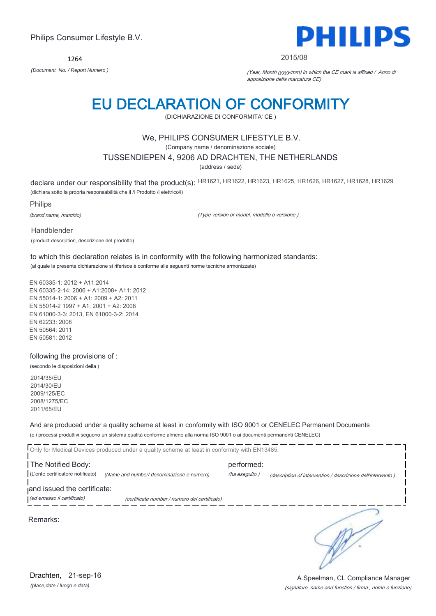1264



#### 2015/08

*(Document No. / Report Numero )* (Year, Month (yyyy/mm) in which the CE mark is affixed / Anno di apposizione della marcatura CE)

# EU DECLARATION OF CONFORMITY

(DICHIARAZIONE DI CONFORMITA' CE )

# We, PHILIPS CONSUMER LIFESTYLE B.V.

(Company name / denominazione sociale)

### TUSSENDIEPEN 4, 9206 AD DRACHTEN, THE NETHERLANDS

(address / sede)

declare under our responsibility that the product(s): HR1621, HR1622, HR1623, HR1625, HR1626, HR1627, HR1628, HR1629 (dichiara sotto la propria responsabilità che il /i Prodotto /i elettrico/i)

Philips

(brand name, marchio)

(Type version or model, modello o versione )

Handblender

(product description, descrizione del prodotto)

to which this declaration relates is in conformity with the following harmonized standards: (al quale la presente dichiarazione si riferisce è conforme alle seguenti norme tecniche armonizzate)

EN 60335-1: 2012 + A11:2014 EN 60335-2-14: 2006 + A1:2008+ A11: 2012 EN 55014-1: 2006 + A1: 2009 + A2: 2011 EN 55014-2 1997 + A1: 2001 + A2: 2008 EN 61000-3-3: 2013, EN 61000-3-2: 2014 EN 62233: 2008 EN 50564: 2011 EN 50581: 2012

### following the provisions of :

(secondo le disposizioni della )

2014/35/EU 2014/30/EU 2009/125/EC 2008/1275/EC 2011/65/EU

And are produced under a quality scheme at least in conformity with ISO 9001 or CENELEC Permanent Documents (e i processi produttivi seguono un sistema qualità conforme almeno alla norma ISO 9001 o ai documenti permanenti CENELEC)

|                                                         | Only for Medical Devices produced under a quality scheme at least in conformity with EN13485: |                             |                                                             |
|---------------------------------------------------------|-----------------------------------------------------------------------------------------------|-----------------------------|-------------------------------------------------------------|
| The Notified Body:<br>(L'ente certificatore notificato) | (Name and number/ denominazione e numero)                                                     | performed:<br>(ha eseguito) | (description of intervention / descrizione dell'intervento) |
| and issued the certificate:                             |                                                                                               |                             |                                                             |
| (ed emesso il certificato)                              | (certificate number / numero del certificato)                                                 |                             |                                                             |
| Remarks:                                                |                                                                                               |                             |                                                             |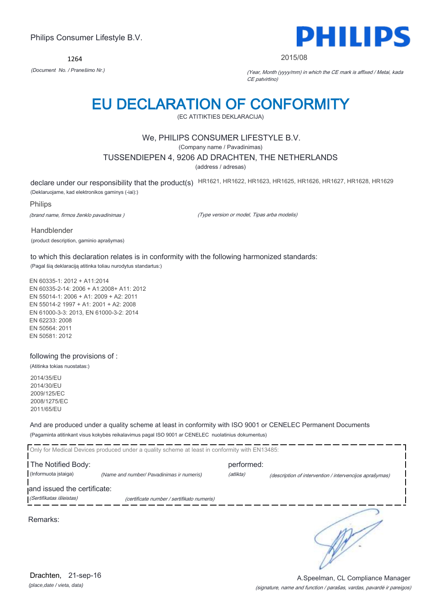1264



#### 2015/08

*(Document No. / Pranešimo Nr.)* (Year, Month (yyyy/mm) in which the CE mark is affixed / Metai, kada CE patvirtino)

# EU DECLARATION OF CONFORMITY

(EC ATITIKTIES DEKLARACIJA)

# We, PHILIPS CONSUMER LIFESTYLE B.V.

(Company name / Pavadinimas)

### TUSSENDIEPEN 4, 9206 AD DRACHTEN, THE NETHERLANDS

(address / adresas)

declare under our responsibility that the product(s) HR1621, HR1622, HR1623, HR1625, HR1626, HR1627, HR1628, HR1629

(Deklaruojame, kad elektronikos gaminys (-iai):)

### Philips

(brand name, firmos ženklo pavadinimas )

(Type version or model, Tipas arba modelis)

Handblender

(product description, gaminio aprašymas)

to which this declaration relates is in conformity with the following harmonized standards: (Pagal šią deklaraciją atitinka toliau nurodytus standartus:)

EN 60335-1: 2012 + A11:2014 EN 60335-2-14: 2006 + A1:2008+ A11: 2012 EN 55014-1: 2006 + A1: 2009 + A2: 2011 EN 55014-2 1997 + A1: 2001 + A2: 2008 EN 61000-3-3: 2013, EN 61000-3-2: 2014 EN 62233: 2008 EN 50564: 2011 EN 50581: 2012

### following the provisions of :

(Atitinka tokias nuostatas:)

2014/35/EU 2014/30/EU 2009/125/EC 2008/1275/EC 2011/65/EU

And are produced under a quality scheme at least in conformity with ISO 9001 or CENELEC Permanent Documents (Pagaminta atitinkant visus kokybės reikalavimus pagal ISO 9001 ar CENELEC nuolatinius dokumentus)

|                             | Only for Medical Devices produced under a quality scheme at least in conformity with EN13485: |            |                                                         |
|-----------------------------|-----------------------------------------------------------------------------------------------|------------|---------------------------------------------------------|
| The Notified Body:          |                                                                                               | performed: |                                                         |
| (Informuota įstaiga)        | (Name and number/ Pavadinimas ir numeris)                                                     | (atlikta)  | (description of intervention / intervencijos aprašymas) |
| and issued the certificate: |                                                                                               |            |                                                         |
| (Sertifikatas išleistas)    | (certificate number / sertifikato numeris)                                                    |            |                                                         |
| Remarks:                    |                                                                                               |            |                                                         |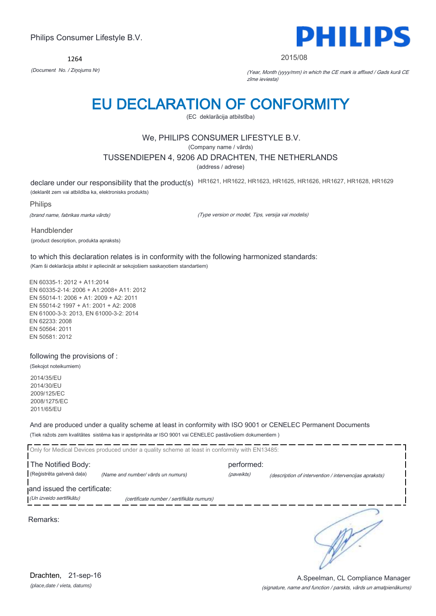1264



#### 2015/08

*(Document No. / Ziņojums Nr)* (Year, Month (yyyy/mm) in which the CE mark is affixed / Gads kurā CE zīme ieviesta)

# EU DECLARATION OF CONFORMITY

(EC deklarācija atbilstība)

# We, PHILIPS CONSUMER LIFESTYLE B.V.

(Company name / vārds)

### TUSSENDIEPEN 4, 9206 AD DRACHTEN, THE NETHERLANDS

(address / adrese)

declare under our responsibility that the product(s) HR1621, HR1622, HR1623, HR1625, HR1626, HR1627, HR1628, HR1629

(deklarēt zem vai atbildība ka, elektronisks produkts)

Philips

(brand name, fabrikas marka vārds)

(Type version or model, Tips, versija vai modelis)

Handblender (product description, produkta apraksts)

to which this declaration relates is in conformity with the following harmonized standards: (Kam ši deklarācija atbilst ir apliecināt ar sekojošiem saskaņotiem standartiem)

EN 60335-1: 2012 + A11:2014 EN 60335-2-14: 2006 + A1:2008+ A11: 2012 EN 55014-1: 2006 + A1: 2009 + A2: 2011 EN 55014-2 1997 + A1: 2001 + A2: 2008 EN 61000-3-3: 2013, EN 61000-3-2: 2014 EN 62233: 2008 EN 50564: 2011 EN 50581: 2012

following the provisions of :

(Sekojot noteikumiem)

2014/35/EU 2014/30/EU 2009/125/EC 2008/1275/EC 2011/65/EU

And are produced under a quality scheme at least in conformity with ISO 9001 or CENELEC Permanent Documents (Tiek ražots zem kvalitātes sistēma kas ir apstiprināta ar ISO 9001 vai CENELEC pastāvošiem dokumentiem )

|                             | Only for Medical Devices produced under a quality scheme at least in conformity with EN13485: |            |                                                        |
|-----------------------------|-----------------------------------------------------------------------------------------------|------------|--------------------------------------------------------|
| The Notified Body:          |                                                                                               | performed: |                                                        |
| (Reģistrēta galvenā daļa)   | (Name and number/ vārds un numurs)                                                            | (paveikts) | (description of intervention / intervencijas apraksts) |
| and issued the certificate: |                                                                                               |            |                                                        |
| (Un izveido sertifikātu)    | (certificate number / sertifikāta numurs)                                                     |            |                                                        |
| Remarks:                    |                                                                                               |            |                                                        |

(signature, name and function / parskts, vārds un amatpienākums) A.Speelman, CL Compliance Manager

*(place,date / vieta, datums)* Drachten, 21-sep-16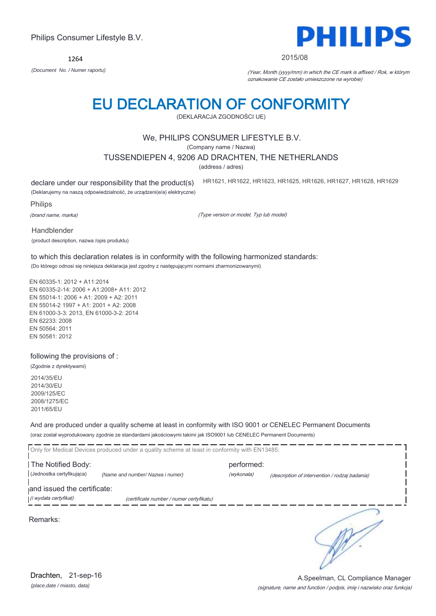1264

# EU DECLARATION OF CONFORMITY

(DEKLARACJA ZGODNOŚCI UE)

# We, PHILIPS CONSUMER LIFESTYLE B.V.

(Company name / Nazwa)

### TUSSENDIEPEN 4, 9206 AD DRACHTEN, THE NETHERLANDS

(address / adres)

declare under our responsibility that the product(s)

HR1621, HR1622, HR1623, HR1625, HR1626, HR1627, HR1628, HR1629

(Deklarujemy na naszą odpowiedzialność, że urządzeni(e/a) elektryczne)

Philips

(brand name, marka)

(Type version or model, Typ lub model)

Handblender

(product description, nazwa /opis produktu)

to which this declaration relates is in conformity with the following harmonized standards: (Do którego odnosi się niniejsza deklaracja jest zgodny z następującymi normami zharmonizowanymi)

EN 60335-1: 2012 + A11:2014 EN 60335-2-14: 2006 + A1:2008+ A11: 2012 EN 55014-1: 2006 + A1: 2009 + A2: 2011 EN 55014-2 1997 + A1: 2001 + A2: 2008 EN 61000-3-3: 2013, EN 61000-3-2: 2014 EN 62233: 2008 EN 50564: 2011 EN 50581: 2012

following the provisions of :

(Zgodnie z dyrektywami)

2014/35/EU 2014/30/EU 2009/125/EC 2008/1275/EC 2011/65/EU

And are produced under a quality scheme at least in conformity with ISO 9001 or CENELEC Permanent Documents (oraz został wyprodukowany zgodnie ze standardami jakościowymi takimi jak ISO9001 lub CENELEC Permanent Documents)

Only for Medical Devices produced under a quality scheme at least in conformity with EN13485: The Notified Body: example and the Notified Body: (Jednostka certyfikująca) *(Name and number/ Nazwa i numer)* (wykonała) (description of intervention / rodzaj badania) and issued the certificate: (i wydała certyfikat) (certificate number / numer certyfikatu) ₹

Remarks:



(signature, name and function / podpis, imię i nazwisko oraz funkcja)

A.Speelman, CL Compliance Manager



2015/08

*(Document No. / Numer raportu)* (Year, Month (yyyy/mm) in which the CE mark is affixed / Rok, w którym oznakowanie CE zostało umieszczone na wyrobie)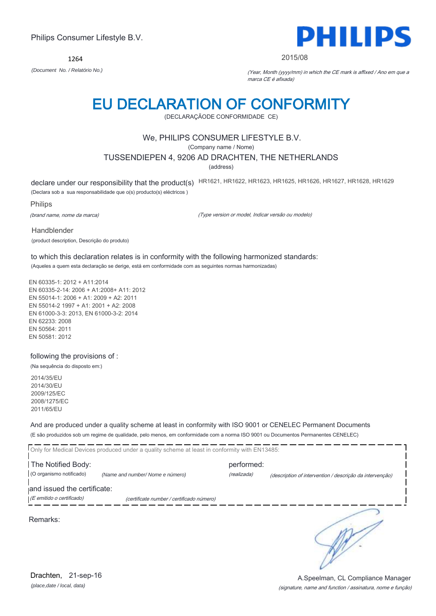Only for Medical Devices produced under a quality scheme at least in conformity with EN13485: The Notified Body: example and the Notified Body: (O organismo notificado) *(Name and number/ Nome e número)* (realizada) (description of intervention / descrição da intervenção) and issued the certificate: (E emitido o certificado) (certificate number / certificado número) ₹ Remarks:

*(place,date / local, data)* Drachten, 21-sep-16

# Philips Consumer Lifestyle B.V.

1264

# EU DECLARATION OF CONFORMITY (DECLARAÇÃODE CONFORMIDADE CE)

# We, PHILIPS CONSUMER LIFESTYLE B.V.

(Company name / Nome)

# TUSSENDIEPEN 4, 9206 AD DRACHTEN, THE NETHERLANDS

(address)

declare under our responsibility that the product(s) HR1621, HR1622, HR1623, HR1625, HR1626, HR1627, HR1628, HR1629

(Declara sob a sua responsabilidade que o(s) producto(s) eléctricos )

Philips

Handblender

(brand name, nome da marca)

(product description, Descrição do produto)

(Type version or model, Indicar versão ou modelo)

to which this declaration relates is in conformity with the following harmonized standards: (Aqueles a quem esta declaração se derige, está em conformidade com as seguintes normas harmonizadas)

EN 60335-1: 2012 + A11:2014 EN 60335-2-14: 2006 + A1:2008+ A11: 2012 EN 55014-1: 2006 + A1: 2009 + A2: 2011 EN 55014-2 1997 + A1: 2001 + A2: 2008 EN 61000-3-3: 2013, EN 61000-3-2: 2014 EN 62233: 2008 EN 50564: 2011 EN 50581: 2012

### following the provisions of :

(Na sequência do disposto em:)

2014/35/EU 2014/30/EU 2009/125/EC 2008/1275/EC 2011/65/EU

And are produced under a quality scheme at least in conformity with ISO 9001 or CENELEC Permanent Documents (E são produzidos sob um regime de qualidade, pelo menos, em conformidade com a norma ISO 9001 ou Documentos Permanentes CENELEC)

(signature, name and function / assinatura, nome e função) A.Speelman, CL Compliance Manager



#### 2015/08

*(Document No. / Relatório No.)* (Year, Month (yyyy/mm) in which the CE mark is affixed / Ano em que a marca CE é afixada)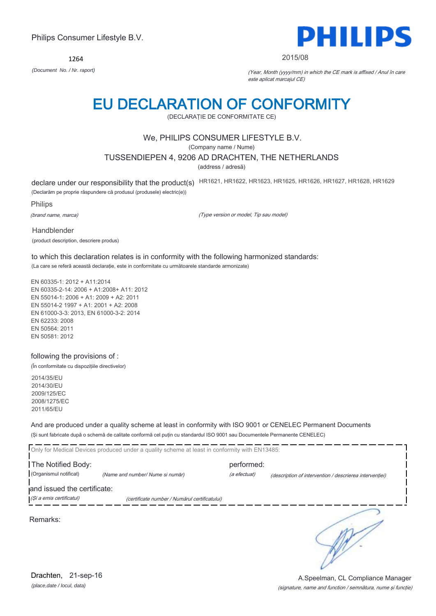1264



#### 2015/08

*(Document No. / Nr. raport)* (Year, Month (yyyy/mm) in which the CE mark is affixed / Anul în care este aplicat marcajul CE)

# EU DECLARATION OF CONFORMITY

(DECLARAŢIE DE CONFORMITATE CE)

# We, PHILIPS CONSUMER LIFESTYLE B.V.

(Company name / Nume)

### TUSSENDIEPEN 4, 9206 AD DRACHTEN, THE NETHERLANDS

(address / adresă)

declare under our responsibility that the product(s) HR1621, HR1622, HR1623, HR1625, HR1626, HR1627, HR1628, HR1629

(Declarăm pe proprie răspundere că produsul (produsele) electric(e))

Philips

(brand name, marca)

(Type version or model, Tip sau model)

Handblender (product description, descriere produs)

to which this declaration relates is in conformity with the following harmonized standards: (La care se referă această declaraţie, este in conformitate cu următoarele standarde armonizate)

EN 60335-1: 2012 + A11:2014 EN 60335-2-14: 2006 + A1:2008+ A11: 2012 EN 55014-1: 2006 + A1: 2009 + A2: 2011 EN 55014-2 1997 + A1: 2001 + A2: 2008 EN 61000-3-3: 2013, EN 61000-3-2: 2014 EN 62233: 2008 EN 50564: 2011 EN 50581: 2012

### following the provisions of :

(În conformitate cu dispoziţiile directivelor)

2014/35/EU 2014/30/EU 2009/125/EC 2008/1275/EC 2011/65/EU

And are produced under a quality scheme at least in conformity with ISO 9001 or CENELEC Permanent Documents (Şi sunt fabricate după o schemă de calitate conformă cel puţin cu standardul ISO 9001 sau Documentele Permanente CENELEC)

|                             | Only for Medical Devices produced under a quality scheme at least in conformity with EN13485: |              |                                                         |
|-----------------------------|-----------------------------------------------------------------------------------------------|--------------|---------------------------------------------------------|
| The Notified Body:          |                                                                                               | performed:   |                                                         |
| (Organismul notificat)      | (Name and number/ Nume si număr)                                                              | (a efectuat) | (description of intervention / descrierea interventiei) |
| and issued the certificate: |                                                                                               |              |                                                         |
| (Și a emis certificatul)    | (certificate number / Numărul certificatului)                                                 |              |                                                         |
| Remarks:                    |                                                                                               |              |                                                         |

*(place,date / locul, data)* Drachten, 21-sep-16

### (signature, name and function / semnătura, nume şi funcţie) A.Speelman, CL Compliance Manager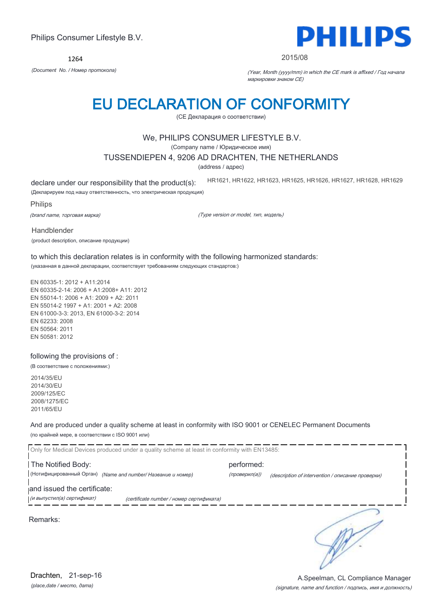1264



#### 2015/08

*(Document No. / Номер протокола)* (Year, Month (yyyy/mm) in which the CE mark is affixed / Год начала маркировки знаком CE)

# EU DECLARATION OF CONFORMITY

(CE Декларация о соответствии)

# We, PHILIPS CONSUMER LIFESTYLE B.V.

(Company name / Юридическое имя)

### TUSSENDIEPEN 4, 9206 AD DRACHTEN, THE NETHERLANDS

(address / адрес)

declare under our responsibility that the product(s):

HR1621, HR1622, HR1623, HR1625, HR1626, HR1627, HR1628, HR1629

(Декларируем под нашу ответственность, что электрическая продукция)

Philips

(brand name, торговая марка)

(Type version or model, тип, модель)

Handblender

(product description, описание продукции)

to which this declaration relates is in conformity with the following harmonized standards: (указанная в данной декларации, соответствует требованиям следующих стандартов:)

EN 60335-1: 2012 + A11:2014 EN 60335-2-14: 2006 + A1:2008+ A11: 2012 EN 55014-1: 2006 + A1: 2009 + A2: 2011 EN 55014-2 1997 + A1: 2001 + A2: 2008 EN 61000-3-3: 2013, EN 61000-3-2: 2014 EN 62233: 2008 EN 50564: 2011 EN 50581: 2012

following the provisions of :

(В соответствие с положениями:)

2014/35/EU 2014/30/EU 2009/125/EC 2008/1275/EC 2011/65/EU

And are produced under a quality scheme at least in conformity with ISO 9001 or CENELEC Permanent Documents (по крайней мере, в соответствии с ISO 9001 или)

| Only for Medical Devices produced under a quality scheme at least in conformity with EN13485: |               |                                                   |
|-----------------------------------------------------------------------------------------------|---------------|---------------------------------------------------|
| The Notified Body:                                                                            | performed:    |                                                   |
| (Нотифицированный Орган) (Name and number/ Название и номер)                                  | (проверил(а)) | (description of intervention / описание проверки) |
| and issued the certificate:                                                                   |               |                                                   |
| (и выпустил(а) сертификат)<br>(certificate number / номер сертификата)                        |               |                                                   |
| Remarks:                                                                                      |               |                                                   |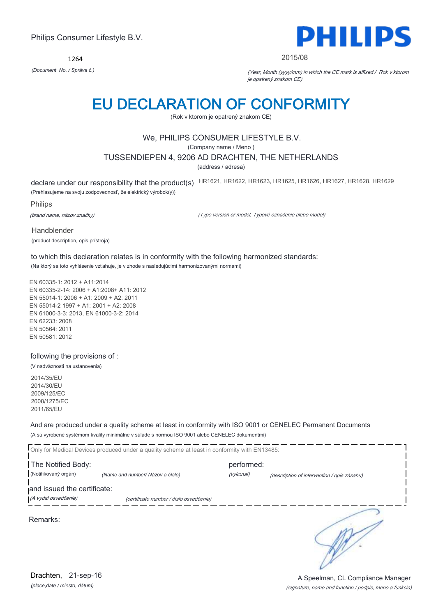1264



#### 2015/08

*(Document No. / Správa č.)* (Year, Month (yyyy/mm) in which the CE mark is affixed / Rok v ktorom je opatrený znakom CE)

# EU DECLARATION OF CONFORMITY

(Rok v ktorom je opatrený znakom CE)

# We, PHILIPS CONSUMER LIFESTYLE B.V.

(Company name / Meno )

### TUSSENDIEPEN 4, 9206 AD DRACHTEN, THE NETHERLANDS

(address / adresa)

declare under our responsibility that the product(s) HR1621, HR1622, HR1623, HR1625, HR1626, HR1627, HR1628, HR1629

(Prehlasujeme na svoju zodpovednosť, že elektrický výrobok(y))

Philips

(brand name, názov značky)

(Type version or model, Typové označenie alebo model)

Handblender (product description, opis prístroja)

to which this declaration relates is in conformity with the following harmonized standards: (Na ktorý sa toto vyhlásenie vzťahuje, je v zhode s nasledujúcimi harmonizovanými normami)

EN 60335-1: 2012 + A11:2014 EN 60335-2-14: 2006 + A1:2008+ A11: 2012 EN 55014-1: 2006 + A1: 2009 + A2: 2011 EN 55014-2 1997 + A1: 2001 + A2: 2008 EN 61000-3-3: 2013, EN 61000-3-2: 2014 EN 62233: 2008 EN 50564: 2011 EN 50581: 2012

### following the provisions of :

(V nadväznosti na ustanovenia)

2014/35/EU 2014/30/EU 2009/125/EC 2008/1275/EC 2011/65/EU

And are produced under a quality scheme at least in conformity with ISO 9001 or CENELEC Permanent Documents (A sú vyrobené systémom kvality minimálne v súlade s normou ISO 9001 alebo CENELEC dokumentmi)

|                             | Only for Medical Devices produced under a quality scheme at least in conformity with EN13485: |            |                                             |
|-----------------------------|-----------------------------------------------------------------------------------------------|------------|---------------------------------------------|
| The Notified Body:          |                                                                                               | performed: |                                             |
| (Notifikovaný orgán)        | (Name and number/ Názov a číslo)                                                              | (vykonal)  | (description of intervention / opis zásahu) |
| and issued the certificate: |                                                                                               |            |                                             |
| (A vydal osvedčenie)        | (certificate number / číslo osvedčenia)                                                       |            |                                             |
| Remarks:                    |                                                                                               |            |                                             |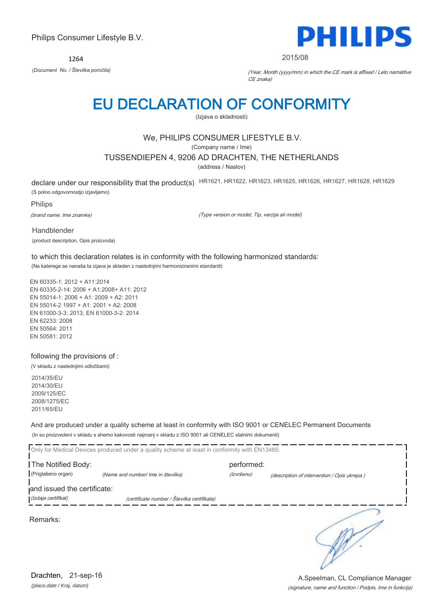1264



#### 2015/08

*(Document No. / Številka poročila)* (Year, Month (yyyy/mm) in which the CE mark is affixed / Leto namstitve CE znaka)

# EU DECLARATION OF CONFORMITY

(Izjava o skladnosti)

# We, PHILIPS CONSUMER LIFESTYLE B.V.

(Company name / Ime)

### TUSSENDIEPEN 4, 9206 AD DRACHTEN, THE NETHERLANDS

(address / Naslov)

declare under our responsibility that the product(s) HR1621, HR1622, HR1623, HR1625, HR1626, HR1627, HR1628, HR1629 (S polno odgovornostjo izjavljamo)

Philips

(brand name, Ime znamke)

(Type version or model, Tip, verzija ali model)

Handblender (product description, Opis proizvoda)

to which this declaration relates is in conformity with the following harmonized standards: (Na katerega se nanaša ta izjava je skladen z naslednjimi harmoniziranimi standardi)

EN 60335-1: 2012 + A11:2014 EN 60335-2-14: 2006 + A1:2008+ A11: 2012 EN 55014-1: 2006 + A1: 2009 + A2: 2011 EN 55014-2 1997 + A1: 2001 + A2: 2008 EN 61000-3-3: 2013, EN 61000-3-2: 2014 EN 62233: 2008 EN 50564: 2011 EN 50581: 2012

### following the provisions of :

(V skladu z naslednjimi odločbami)

2014/35/EU 2014/30/EU 2009/125/EC 2008/1275/EC 2011/65/EU

And are produced under a quality scheme at least in conformity with ISO 9001 or CENELEC Permanent Documents (In so proizvedeni v skladu s shemo kakovosti najmanj v skladu z ISO 9001 ali CENELEC stalnimi dokumenti)

|                             | Only for Medical Devices produced under a quality scheme at least in conformity with EN13485: |            |                                             |  |
|-----------------------------|-----------------------------------------------------------------------------------------------|------------|---------------------------------------------|--|
| The Notified Body:          |                                                                                               | performed: |                                             |  |
| (Priglašeno organ)          | (Name and number/ Ime in številka)                                                            | (Izvršeno) | (description of intervention / Opis ukrepa) |  |
| and issued the certificate: |                                                                                               |            |                                             |  |
| (Izdaja certifikat)         | (certificate number / Številka certifikata)                                                   |            |                                             |  |
| Remarks:                    |                                                                                               |            |                                             |  |

*(place,date / Kraj, datum)* Drachten, 21-sep-16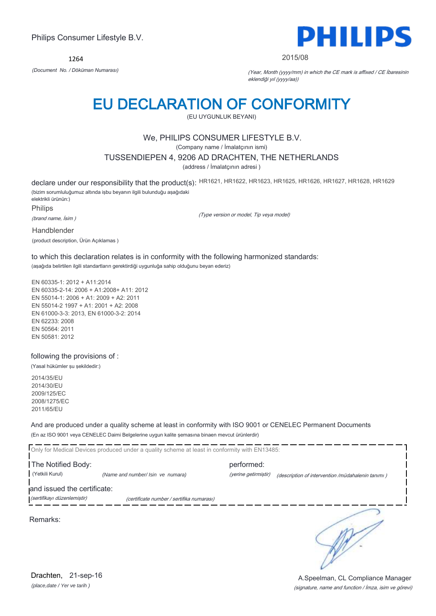1264



#### 2015/08

*(Document No. / Döküman Numarası)* (Year, Month (yyyy/mm) in which the CE mark is affixed / CE İbaresinin eklendiği yıl (yyyy/aa))

# EU DECLARATION OF CONFORMITY

(EU UYGUNLUK BEYANI)

# We, PHILIPS CONSUMER LIFESTYLE B.V.

(Company name / İmalatçının ismi)

### TUSSENDIEPEN 4, 9206 AD DRACHTEN, THE NETHERLANDS

(address / İmalatçının adresi )

declare under our responsibility that the product(s): HR1621, HR1622, HR1623, HR1625, HR1626, HR1627, HR1628, HR1629 (bizim sorumluluğumuz altında işbu beyanın ilgili bulunduğu aşağıdaki elektrikli ürünün:)

Philips

(brand name, İsim )

(Type version or model, Tip veya model)

Handblender

(product description, Ürün Açıklamas )

to which this declaration relates is in conformity with the following harmonized standards: (aşağıda belirtilen ilgili standartların gerektirdiği uygunluğa sahip olduğunu beyan ederiz)

EN 60335-1: 2012 + A11:2014 EN 60335-2-14: 2006 + A1:2008+ A11: 2012 EN 55014-1: 2006 + A1: 2009 + A2: 2011 EN 55014-2 1997 + A1: 2001 + A2: 2008 EN 61000-3-3: 2013, EN 61000-3-2: 2014 EN 62233: 2008 EN 50564: 2011 EN 50581: 2012

### following the provisions of :

(Yasal hükümler şu şekildedir:)

2014/35/EU 2014/30/EU 2009/125/EC 2008/1275/EC 2011/65/EU

And are produced under a quality scheme at least in conformity with ISO 9001 or CENELEC Permanent Documents (En az ISO 9001 veya CENELEC Daimi Belgelerine uygun kalite şemasına binaen mevcut ürünlerdir)

Only for Medical Devices produced under a quality scheme at least in conformity with EN13485: **The Notified Body: performed:** performed: (Yetkili Kurul) *(Name and number/ Isin ve numara)* (yerine getirmiştir) (description of intervention /müdahalenin tanımı ) and issued the certificate: (sertifikayı düzenlemiştir) (certificate number / sertifika numarası) ∍

Remarks:

*(place,date / Yer ve tarih )* Drachten, 21-sep-16

### (signature, name and function / İmza, isim ve görevi) A.Speelman, CL Compliance Manager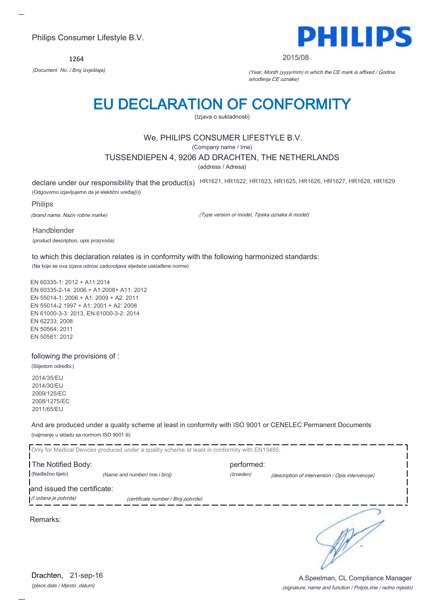1264



#### 2015/08

*(Document No. / Broj izvještaja)* (Year, Month (yyyy/mm) in which the CE mark is affixed / Godina ishođenja CE oznake)

# EU DECLARATION OF CONFORMITY

(Izjava o sukladnosti)

# We, PHILIPS CONSUMER LIFESTYLE B.V.

(Company name / Ime)

### TUSSENDIEPEN 4, 9206 AD DRACHTEN, THE NETHERLANDS

(address / Adresa)

declare under our responsibility that the product(s) HR1621, HR1622, HR1623, HR1625, HR1626, HR1627, HR1628, HR1629 (Odgovorno izjavljujemo da je elektični uređaj(i))

Philips

(brand name, Naziv robne marke)

(Type version or model, Tipska oznaka ili model)

Handblender (product description, opis proizvoda)

to which this declaration relates is in conformity with the following harmonized standards: (Na koje se ova izjava odnosi zadovoljava sljedeće usklađene norme)

EN 60335-1: 2012 + A11:2014 EN 60335-2-14: 2006 + A1:2008+ A11: 2012 EN 55014-1: 2006 + A1: 2009 + A2: 2011 EN 55014-2 1997 + A1: 2001 + A2: 2008 EN 61000-3-3: 2013, EN 61000-3-2: 2014 EN 62233: 2008 EN 50564: 2011 EN 50581: 2012

### following the provisions of :

(Slijedom odredbi:)

2014/35/EU 2014/30/EU 2009/125/EC 2008/1275/EC 2011/65/EU

And are produced under a quality scheme at least in conformity with ISO 9001 or CENELEC Permanent Documents (najmanje u skladu sa normom ISO 9001 ili)

Only for Medical Devices produced under a quality scheme at least in conformity with EN13485: **The Notified Body: performed:** performed: (Nadležno tijelo) *(Name and number/ Ime i broj) (Izveden) (Izveden) (description of intervention / Opis intervencije*) and issued the certificate: (I izdana je potvrda) (certificate number / Broj potvrde) ∍

Remarks:

*(place,date / Mjesto ,datum)* Drachten, 21-sep-16

A.Speelman, CL Compliance Manager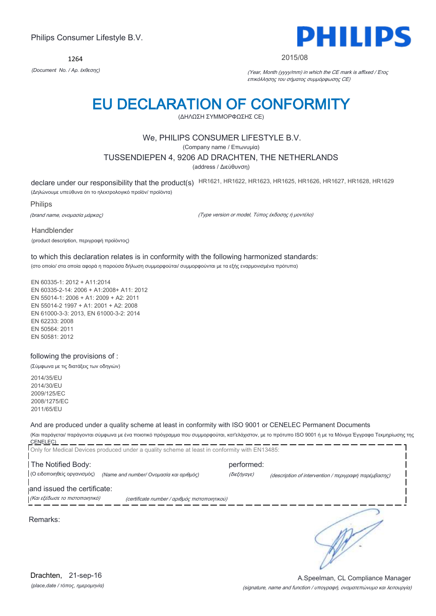1264



#### 2015/08

*(Document No. / Αρ. έκθεσης)* (Year, Month (yyyy/mm) in which the CE mark is affixed / Έτος επικόλλησης του σήματος συμμόρφωσης CE)

# EU DECLARATION OF CONFORMITY

(ΔΗΛΩΣΗ ΣΥΜΜΟΡΦΩΣΗΣ CE)

# We, PHILIPS CONSUMER LIFESTYLE B.V.

(Company name / Επωνυμία)

### TUSSENDIEPEN 4, 9206 AD DRACHTEN, THE NETHERLANDS

(address / Διεύθυνση)

declare under our responsibility that the product(s) HR1621, HR1622, HR1623, HR1625, HR1626, HR1627, HR1628, HR1629

(Δηλώνουμε υπεύθυνα ότι το ηλεκτρολογικό προϊόν/ προϊόντα)

Philips

(brand name, ονομασία μάρκας)

(Type version or model, Τύπος έκδοσης ή μοντέλο)

Handblender

(product description, περιγραφή προϊόντος)

to which this declaration relates is in conformity with the following harmonized standards: (στο οποίο/ στα οποία αφορά η παρούσα δήλωση συμμορφούται/ συμμορφούνται με τα εξής εναρμονισμένα πρότυπα)

EN 60335-1: 2012 + A11:2014 EN 60335-2-14: 2006 + A1:2008+ A11: 2012 EN 55014-1: 2006 + A1: 2009 + A2: 2011 EN 55014-2 1997 + A1: 2001 + A2: 2008 EN 61000-3-3: 2013, EN 61000-3-2: 2014 EN 62233: 2008 EN 50564: 2011 EN 50581: 2012

### following the provisions of :

(Σύμφωνα με τις διατάξεις των οδηγιών)

2014/35/EU 2014/30/EU 2009/125/EC 2008/1275/EC 2011/65/EU

# And are produced under a quality scheme at least in conformity with ISO 9001 or CENELEC Permanent Documents

(Και παράγεται/ παράγονται σύμφωνα με ένα ποιοτικό πρόγραμμα που συμμορφούται, κατ'ελάχιστον, με το πρότυπο ISO 9001 ή με τα Μόνιμα Έγγραφα Τεκμηρίωσης της CENELEC) \_\_\_\_\_\_\_\_\_

|                                         | performed:  |                                                                                                                                                |
|-----------------------------------------|-------------|------------------------------------------------------------------------------------------------------------------------------------------------|
| (Name and number/ Ονομασία και αριθμός) | (διεξήγαγε) | (description of intervention / περιγραφή παρέμβασης)                                                                                           |
| and issued the certificate:             |             |                                                                                                                                                |
|                                         |             |                                                                                                                                                |
|                                         |             |                                                                                                                                                |
|                                         |             | Only for Medical Devices produced under a quality scheme at least in conformity with EN13485:<br>(certificate number / αριθμός πιστοποιητικού) |